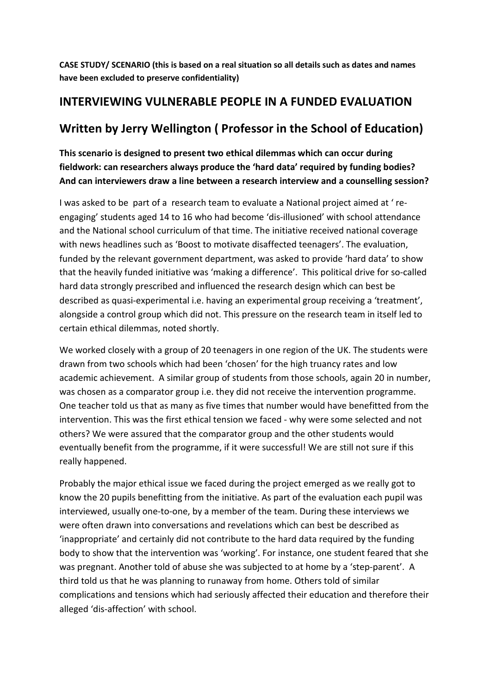**CASE STUDY/ SCENARIO (this is based on a real situation so all details such as dates and names have been excluded to preserve confidentiality)**

## **INTERVIEWING VULNERABLE PEOPLE IN A FUNDED EVALUATION**

## **Written by Jerry Wellington ( Professor in the School of Education)**

**This scenario is designed to present two ethical dilemmas which can occur during fieldwork: can researchers always produce the 'hard data' required by funding bodies? And can interviewers draw a line between a research interview and a counselling session?**

I was asked to be part of a research team to evaluate a National project aimed at ' reengaging' students aged 14 to 16 who had become 'dis-illusioned' with school attendance and the National school curriculum of that time. The initiative received national coverage with news headlines such as 'Boost to motivate disaffected teenagers'. The evaluation, funded by the relevant government department, was asked to provide 'hard data' to show that the heavily funded initiative was 'making a difference'. This political drive for so-called hard data strongly prescribed and influenced the research design which can best be described as quasi-experimental i.e. having an experimental group receiving a 'treatment', alongside a control group which did not. This pressure on the research team in itself led to certain ethical dilemmas, noted shortly.

We worked closely with a group of 20 teenagers in one region of the UK. The students were drawn from two schools which had been 'chosen' for the high truancy rates and low academic achievement. A similar group of students from those schools, again 20 in number, was chosen as a comparator group i.e. they did not receive the intervention programme. One teacher told us that as many as five times that number would have benefitted from the intervention. This was the first ethical tension we faced - why were some selected and not others? We were assured that the comparator group and the other students would eventually benefit from the programme, if it were successful! We are still not sure if this really happened.

Probably the major ethical issue we faced during the project emerged as we really got to know the 20 pupils benefitting from the initiative. As part of the evaluation each pupil was interviewed, usually one-to-one, by a member of the team. During these interviews we were often drawn into conversations and revelations which can best be described as 'inappropriate' and certainly did not contribute to the hard data required by the funding body to show that the intervention was 'working'. For instance, one student feared that she was pregnant. Another told of abuse she was subjected to at home by a 'step-parent'. A third told us that he was planning to runaway from home. Others told of similar complications and tensions which had seriously affected their education and therefore their alleged 'dis-affection' with school.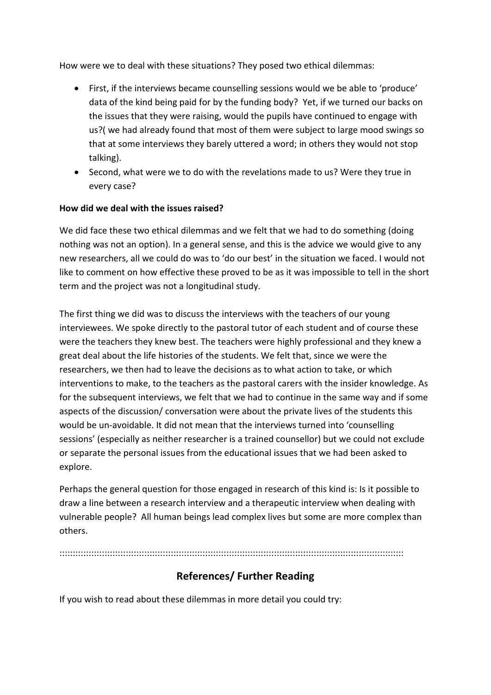How were we to deal with these situations? They posed two ethical dilemmas:

- First, if the interviews became counselling sessions would we be able to 'produce' data of the kind being paid for by the funding body? Yet, if we turned our backs on the issues that they were raising, would the pupils have continued to engage with us?( we had already found that most of them were subject to large mood swings so that at some interviews they barely uttered a word; in others they would not stop talking).
- Second, what were we to do with the revelations made to us? Were they true in every case?

## **How did we deal with the issues raised?**

We did face these two ethical dilemmas and we felt that we had to do something (doing nothing was not an option). In a general sense, and this is the advice we would give to any new researchers, all we could do was to 'do our best' in the situation we faced. I would not like to comment on how effective these proved to be as it was impossible to tell in the short term and the project was not a longitudinal study.

The first thing we did was to discuss the interviews with the teachers of our young interviewees. We spoke directly to the pastoral tutor of each student and of course these were the teachers they knew best. The teachers were highly professional and they knew a great deal about the life histories of the students. We felt that, since we were the researchers, we then had to leave the decisions as to what action to take, or which interventions to make, to the teachers as the pastoral carers with the insider knowledge. As for the subsequent interviews, we felt that we had to continue in the same way and if some aspects of the discussion/ conversation were about the private lives of the students this would be un-avoidable. It did not mean that the interviews turned into 'counselling sessions' (especially as neither researcher is a trained counsellor) but we could not exclude or separate the personal issues from the educational issues that we had been asked to explore.

Perhaps the general question for those engaged in research of this kind is: Is it possible to draw a line between a research interview and a therapeutic interview when dealing with vulnerable people? All human beings lead complex lives but some are more complex than others.

::::::::::::::::::::::::::::::::::::::::::::::::::::::::::::::::::::::::::::::::::::::::::::::::::::::::::::::::::::::::::::::::::

## **References/ Further Reading**

If you wish to read about these dilemmas in more detail you could try: